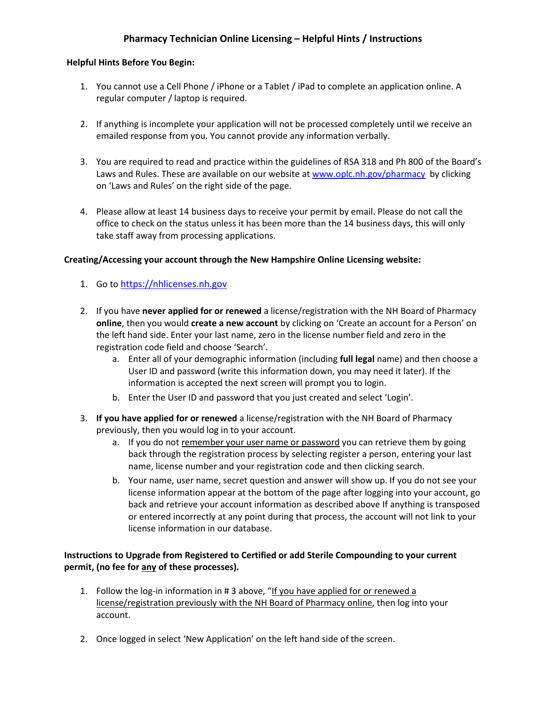## Pharmacy Technician Online Licensing – Helpful Hints / Instructions

## Helpful Hints Before You Begin:

- 1. You cannot use a Cell Phone / iPhone or a Tablet / iPad to complete an application online. A regular computer / laptop is required.
- 2. If anything is incomplete your application will not be processed completely until we receive an emailed response from you. You cannot provide any information verbally.
- 3. You are required to read and practice within the guidelines of RSA 318 and Ph 800 of the Board's Laws and Rules. These are available on our website at www.oplc.nh.gov/pharmacy by clicking on 'Laws and Rules' on the right side of the page.
- 4. Please allow at least 14 business days to receive your permit by email. Please do not call the office to check on the status unless it has been more than the 14 business days, this will only take staff away from processing applications.

## Creating/Accessing your account through the New Hampshire Online Licensing website:

- 1. Go to https://nhlicenses.nh.gov
- 2. If you have never applied for or renewed a license/registration with the NH Board of Pharmacy online, then you would create a new account by clicking on 'Create an account for a Person' on the left hand side. Enter your last name, zero in the license number field and zero in the registration code field and choose 'Search'.
	- a. Enter all of your demographic information (including full legal name) and then choose a User ID and password (write this information down, you may need it later). If the information is accepted the next screen will prompt you to login.
	- b. Enter the User ID and password that you just created and select 'Login'.
- 3. If you have applied for or renewed a license/registration with the NH Board of Pharmacy previously, then you would log in to your account.
	- a. If you do not remember your user name or password you can retrieve them by going back through the registration process by selecting register a person, entering your last name, license number and your registration code and then clicking search.
	- b. Your name, user name, secret question and answer will show up. If you do not see your license information appear at the bottom of the page after logging into your account, go back and retrieve your account information as described above If anything is transposed or entered incorrectly at any point during that process, the account will not link to your license information in our database.

## Instructions to Upgrade from Registered to Certified or add Sterile Compounding to your current permit, (no fee for any of these processes).

- 1. Follow the log-in information in  $# 3$  above, "If you have applied for or renewed a license/registration previously with the NH Board of Pharmacy online, then log into your account.
- 2. Once logged in select 'New Application' on the left hand side of the screen.